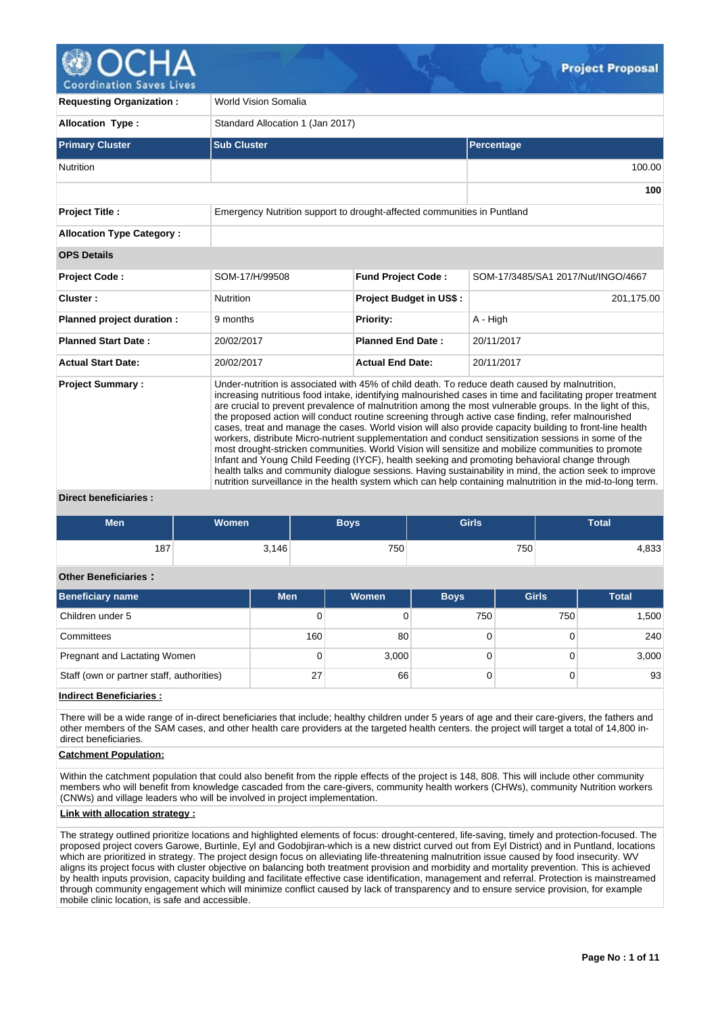# **Coordination Saves Lives**

**Requesting Organization : World Vision Somalia Allocation Type :** Standard Allocation 1 (Jan 2017) **Primary Cluster Sub Cluster Sub Cluster** Sub Cluster Sub Cluster Sub Cluster Sub Cluster Sub Cluster Sub Cluster Nutrition 100.00 **100 Project Title :** Emergency Nutrition support to drought-affected communities in Puntland **Allocation Type Category : OPS Details Project Code :** SOM-17/H/99508 **Fund Project Code :** SOM-17/3485/SA1 2017/Nut/INGO/4667 **Cluster :** 201,175.00 **Nutrition <b>Project Budget in US\$** : 201,175.00 **Planned project duration :** 9 months **Priority:** A - High **Planned Start Date :** 20/02/2017 **Planned End Date :** 20/11/2017 **Actual Start Date:** 20/02/2017 **Actual End Date:** 20/11/2017 **Project Summary :** Under-nutrition is associated with 45% of child death. To reduce death caused by malnutrition, increasing nutritious food intake, identifying malnourished cases in time and facilitating proper treatment are crucial to prevent prevalence of malnutrition among the most vulnerable groups. In the light of this, the proposed action will conduct routine screening through active case finding, refer malnourished cases, treat and manage the cases. World vision will also provide capacity building to front-line health workers, distribute Micro-nutrient supplementation and conduct sensitization sessions in some of the most drought-stricken communities. World Vision will sensitize and mobilize communities to promote Infant and Young Child Feeding (IYCF), health seeking and promoting behavioral change through health talks and community dialogue sessions. Having sustainability in mind, the action seek to improve nutrition surveillance in the health system which can help containing malnutrition in the mid-to-long term.

## **Direct beneficiaries :**

| <b>Men</b> | Women | Boys | <b>Girls</b> | <b>Total</b> |
|------------|-------|------|--------------|--------------|
| 187        | 3,146 | 750  | 750          | 1,833        |

## **Other Beneficiaries :**

| <b>Beneficiary name</b>                   | <b>Men</b> | <b>Women</b> | <b>Boys</b> | <b>Girls</b> | <b>Total</b> |
|-------------------------------------------|------------|--------------|-------------|--------------|--------------|
| Children under 5                          |            |              | 750         | 750          | 1,500        |
| Committees                                | 160        | 80           |             |              | 240          |
| Pregnant and Lactating Women              |            | 3,000        |             |              | 3,000        |
| Staff (own or partner staff, authorities) | 27         | 66           |             |              | 93           |

**Indirect Beneficiaries :**

There will be a wide range of in-direct beneficiaries that include; healthy children under 5 years of age and their care-givers, the fathers and other members of the SAM cases, and other health care providers at the targeted health centers. the project will target a total of 14,800 indirect beneficiaries.

## **Catchment Population:**

Within the catchment population that could also benefit from the ripple effects of the project is 148, 808. This will include other community members who will benefit from knowledge cascaded from the care-givers, community health workers (CHWs), community Nutrition workers (CNWs) and village leaders who will be involved in project implementation.

## **Link with allocation strategy :**

The strategy outlined prioritize locations and highlighted elements of focus: drought-centered, life-saving, timely and protection-focused. The proposed project covers Garowe, Burtinle, Eyl and Godobjiran-which is a new district curved out from Eyl District) and in Puntland, locations which are prioritized in strategy. The project design focus on alleviating life-threatening malnutrition issue caused by food insecurity. WV aligns its project focus with cluster objective on balancing both treatment provision and morbidity and mortality prevention. This is achieved by health inputs provision, capacity building and facilitate effective case identification, management and referral. Protection is mainstreamed through community engagement which will minimize conflict caused by lack of transparency and to ensure service provision, for example mobile clinic location, is safe and accessible.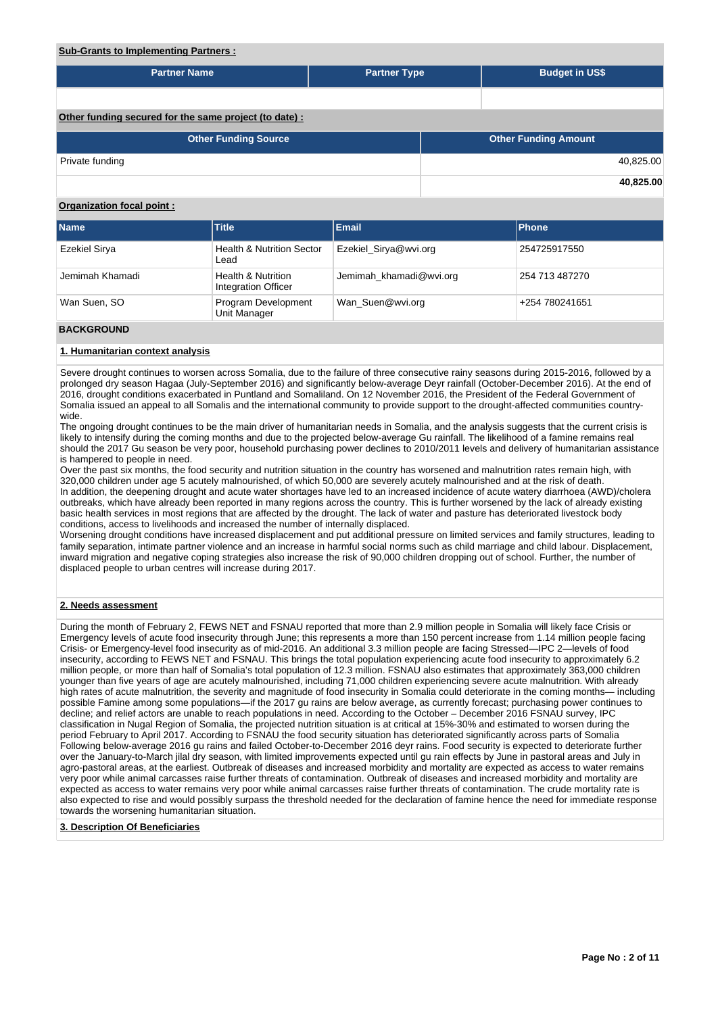## **Sub-Grants to Implementing Partners :**

| <b>Partner Name</b>                                   | <b>Partner Type</b> |  | <b>Budget in US\$</b>       |           |  |  |  |  |
|-------------------------------------------------------|---------------------|--|-----------------------------|-----------|--|--|--|--|
|                                                       |                     |  |                             |           |  |  |  |  |
|                                                       |                     |  |                             |           |  |  |  |  |
| Other funding secured for the same project (to date): |                     |  |                             |           |  |  |  |  |
| <b>Other Funding Source</b>                           |                     |  | <b>Other Funding Amount</b> |           |  |  |  |  |
| Private funding                                       |                     |  |                             | 40,825.00 |  |  |  |  |
|                                                       |                     |  |                             | 40,825.00 |  |  |  |  |

## **Organization focal point :**

| <b>Name</b>     | <b>Title</b>                                         | <b>Email</b>            | <b>Phone</b>   |
|-----------------|------------------------------------------------------|-------------------------|----------------|
| Ezekiel Sirya   | <b>Health &amp; Nutrition Sector</b><br>Lead         | Ezekiel Sirya@wvi.org   | 254725917550   |
| Jemimah Khamadi | <b>Health &amp; Nutrition</b><br>Integration Officer | Jemimah khamadi@wvi.org | 254 713 487270 |
| Wan Suen, SO    | Program Development<br>Unit Manager                  | Wan Suen@wvi.org        | +254 780241651 |
|                 |                                                      |                         |                |

#### **BACKGROUND**

## **1. Humanitarian context analysis**

Severe drought continues to worsen across Somalia, due to the failure of three consecutive rainy seasons during 2015-2016, followed by a prolonged dry season Hagaa (July-September 2016) and significantly below-average Deyr rainfall (October-December 2016). At the end of 2016, drought conditions exacerbated in Puntland and Somaliland. On 12 November 2016, the President of the Federal Government of Somalia issued an appeal to all Somalis and the international community to provide support to the drought-affected communities countrywide.

The ongoing drought continues to be the main driver of humanitarian needs in Somalia, and the analysis suggests that the current crisis is likely to intensify during the coming months and due to the projected below-average Gu rainfall. The likelihood of a famine remains real should the 2017 Gu season be very poor, household purchasing power declines to 2010/2011 levels and delivery of humanitarian assistance is hampered to people in need.

Over the past six months, the food security and nutrition situation in the country has worsened and malnutrition rates remain high, with 320,000 children under age 5 acutely malnourished, of which 50,000 are severely acutely malnourished and at the risk of death. In addition, the deepening drought and acute water shortages have led to an increased incidence of acute watery diarrhoea (AWD)/cholera outbreaks, which have already been reported in many regions across the country. This is further worsened by the lack of already existing basic health services in most regions that are affected by the drought. The lack of water and pasture has deteriorated livestock body conditions, access to livelihoods and increased the number of internally displaced.

Worsening drought conditions have increased displacement and put additional pressure on limited services and family structures, leading to family separation, intimate partner violence and an increase in harmful social norms such as child marriage and child labour. Displacement, inward migration and negative coping strategies also increase the risk of 90,000 children dropping out of school. Further, the number of displaced people to urban centres will increase during 2017.

## **2. Needs assessment**

During the month of February 2, FEWS NET and FSNAU reported that more than 2.9 million people in Somalia will likely face Crisis or Emergency levels of acute food insecurity through June; this represents a more than 150 percent increase from 1.14 million people facing Crisis- or Emergency-level food insecurity as of mid-2016. An additional 3.3 million people are facing Stressed—IPC 2—levels of food insecurity, according to FEWS NET and FSNAU. This brings the total population experiencing acute food insecurity to approximately 6.2 million people, or more than half of Somalia's total population of 12.3 million. FSNAU also estimates that approximately 363,000 children younger than five years of age are acutely malnourished, including 71,000 children experiencing severe acute malnutrition. With already high rates of acute malnutrition, the severity and magnitude of food insecurity in Somalia could deteriorate in the coming months— including possible Famine among some populations—if the 2017 gu rains are below average, as currently forecast; purchasing power continues to decline; and relief actors are unable to reach populations in need. According to the October – December 2016 FSNAU survey, IPC classification in Nugal Region of Somalia, the projected nutrition situation is at critical at 15%-30% and estimated to worsen during the period February to April 2017. According to FSNAU the food security situation has deteriorated significantly across parts of Somalia Following below-average 2016 gu rains and failed October-to-December 2016 deyr rains. Food security is expected to deteriorate further over the January-to-March jilal dry season, with limited improvements expected until gu rain effects by June in pastoral areas and July in agro-pastoral areas, at the earliest. Outbreak of diseases and increased morbidity and mortality are expected as access to water remains very poor while animal carcasses raise further threats of contamination. Outbreak of diseases and increased morbidity and mortality are expected as access to water remains very poor while animal carcasses raise further threats of contamination. The crude mortality rate is also expected to rise and would possibly surpass the threshold needed for the declaration of famine hence the need for immediate response towards the worsening humanitarian situation.

#### **3. Description Of Beneficiaries**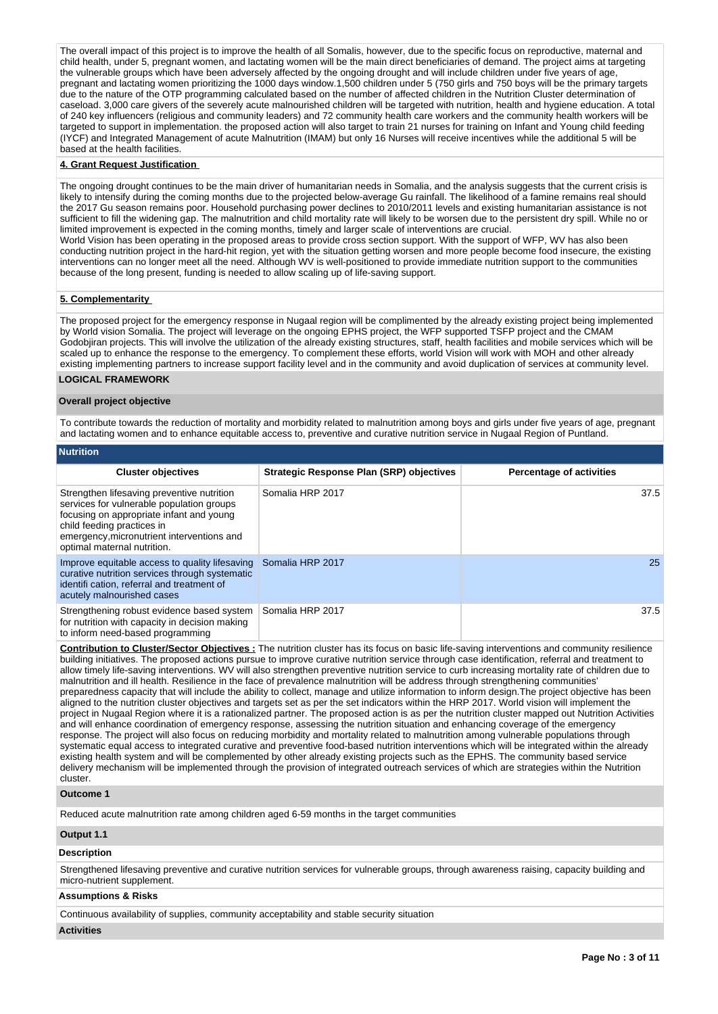The overall impact of this project is to improve the health of all Somalis, however, due to the specific focus on reproductive, maternal and child health, under 5, pregnant women, and lactating women will be the main direct beneficiaries of demand. The project aims at targeting the vulnerable groups which have been adversely affected by the ongoing drought and will include children under five years of age, pregnant and lactating women prioritizing the 1000 days window.1,500 children under 5 (750 girls and 750 boys will be the primary targets due to the nature of the OTP programming calculated based on the number of affected children in the Nutrition Cluster determination of caseload. 3,000 care givers of the severely acute malnourished children will be targeted with nutrition, health and hygiene education. A total of 240 key influencers (religious and community leaders) and 72 community health care workers and the community health workers will be targeted to support in implementation. the proposed action will also target to train 21 nurses for training on Infant and Young child feeding (IYCF) and Integrated Management of acute Malnutrition (IMAM) but only 16 Nurses will receive incentives while the additional 5 will be based at the health facilities.

#### **4. Grant Request Justification**

The ongoing drought continues to be the main driver of humanitarian needs in Somalia, and the analysis suggests that the current crisis is likely to intensify during the coming months due to the projected below-average Gu rainfall. The likelihood of a famine remains real should the 2017 Gu season remains poor. Household purchasing power declines to 2010/2011 levels and existing humanitarian assistance is not sufficient to fill the widening gap. The malnutrition and child mortality rate will likely to be worsen due to the persistent dry spill. While no or limited improvement is expected in the coming months, timely and larger scale of interventions are crucial.

World Vision has been operating in the proposed areas to provide cross section support. With the support of WFP, WV has also been conducting nutrition project in the hard-hit region, yet with the situation getting worsen and more people become food insecure, the existing interventions can no longer meet all the need. Although WV is well-positioned to provide immediate nutrition support to the communities because of the long present, funding is needed to allow scaling up of life-saving support.

#### **5. Complementarity**

The proposed project for the emergency response in Nugaal region will be complimented by the already existing project being implemented by World vision Somalia. The project will leverage on the ongoing EPHS project, the WFP supported TSFP project and the CMAM Godobjiran projects. This will involve the utilization of the already existing structures, staff, health facilities and mobile services which will be scaled up to enhance the response to the emergency. To complement these efforts, world Vision will work with MOH and other already existing implementing partners to increase support facility level and in the community and avoid duplication of services at community level.

## **LOGICAL FRAMEWORK**

## **Overall project objective**

To contribute towards the reduction of mortality and morbidity related to malnutrition among boys and girls under five years of age, pregnant and lactating women and to enhance equitable access to, preventive and curative nutrition service in Nugaal Region of Puntland.

| <b>Nutrition</b>                                                                                                                                                                                                                               |                                                 |                                 |  |  |  |  |  |  |
|------------------------------------------------------------------------------------------------------------------------------------------------------------------------------------------------------------------------------------------------|-------------------------------------------------|---------------------------------|--|--|--|--|--|--|
| <b>Cluster objectives</b>                                                                                                                                                                                                                      | <b>Strategic Response Plan (SRP) objectives</b> | <b>Percentage of activities</b> |  |  |  |  |  |  |
| Strengthen lifesaving preventive nutrition<br>services for vulnerable population groups<br>focusing on appropriate infant and young<br>child feeding practices in<br>emergency, micronutrient interventions and<br>optimal maternal nutrition. | Somalia HRP 2017                                | 37.5                            |  |  |  |  |  |  |
| Improve equitable access to quality lifesaving<br>curative nutrition services through systematic<br>identifi cation, referral and treatment of<br>acutely malnourished cases                                                                   | Somalia HRP 2017                                | 25                              |  |  |  |  |  |  |
| Strengthening robust evidence based system<br>for nutrition with capacity in decision making<br>to inform need-based programming                                                                                                               | Somalia HRP 2017                                | 37.5                            |  |  |  |  |  |  |

**Contribution to Cluster/Sector Objectives :** The nutrition cluster has its focus on basic life-saving interventions and community resilience building initiatives. The proposed actions pursue to improve curative nutrition service through case identification, referral and treatment to allow timely life-saving interventions. WV will also strengthen preventive nutrition service to curb increasing mortality rate of children due to malnutrition and ill health. Resilience in the face of prevalence malnutrition will be address through strengthening communities' preparedness capacity that will include the ability to collect, manage and utilize information to inform design.The project objective has been aligned to the nutrition cluster objectives and targets set as per the set indicators within the HRP 2017. World vision will implement the project in Nugaal Region where it is a rationalized partner. The proposed action is as per the nutrition cluster mapped out Nutrition Activities and will enhance coordination of emergency response, assessing the nutrition situation and enhancing coverage of the emergency response. The project will also focus on reducing morbidity and mortality related to malnutrition among vulnerable populations through systematic equal access to integrated curative and preventive food-based nutrition interventions which will be integrated within the already existing health system and will be complemented by other already existing projects such as the EPHS. The community based service delivery mechanism will be implemented through the provision of integrated outreach services of which are strategies within the Nutrition cluster.

## **Outcome 1**

Reduced acute malnutrition rate among children aged 6-59 months in the target communities

## **Output 1.1**

#### **Description**

Strengthened lifesaving preventive and curative nutrition services for vulnerable groups, through awareness raising, capacity building and micro-nutrient supplement.

## **Assumptions & Risks**

Continuous availability of supplies, community acceptability and stable security situation

#### **Activities**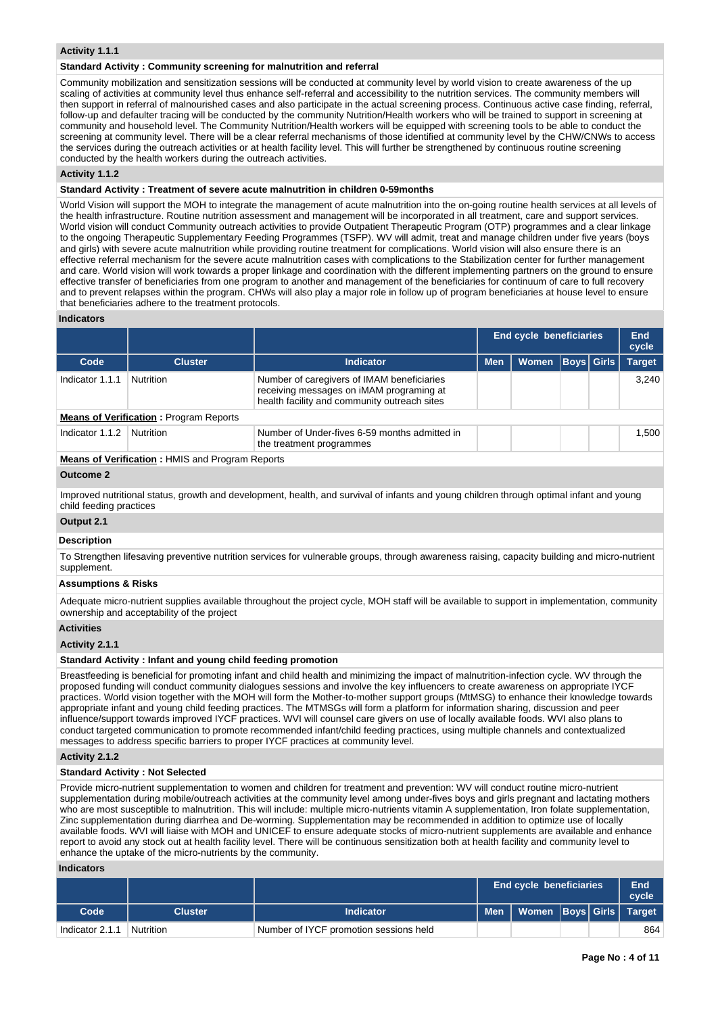## **Activity 1.1.1**

#### **Standard Activity : Community screening for malnutrition and referral**

Community mobilization and sensitization sessions will be conducted at community level by world vision to create awareness of the up scaling of activities at community level thus enhance self-referral and accessibility to the nutrition services. The community members will then support in referral of malnourished cases and also participate in the actual screening process. Continuous active case finding, referral, follow-up and defaulter tracing will be conducted by the community Nutrition/Health workers who will be trained to support in screening at community and household level. The Community Nutrition/Health workers will be equipped with screening tools to be able to conduct the screening at community level. There will be a clear referral mechanisms of those identified at community level by the CHW/CNWs to access the services during the outreach activities or at health facility level. This will further be strengthened by continuous routine screening conducted by the health workers during the outreach activities.

#### **Activity 1.1.2**

## **Standard Activity : Treatment of severe acute malnutrition in children 0-59months**

World Vision will support the MOH to integrate the management of acute malnutrition into the on-going routine health services at all levels of the health infrastructure. Routine nutrition assessment and management will be incorporated in all treatment, care and support services. World vision will conduct Community outreach activities to provide Outpatient Therapeutic Program (OTP) programmes and a clear linkage to the ongoing Therapeutic Supplementary Feeding Programmes (TSFP). WV will admit, treat and manage children under five years (boys and girls) with severe acute malnutrition while providing routine treatment for complications. World vision will also ensure there is an effective referral mechanism for the severe acute malnutrition cases with complications to the Stabilization center for further management and care. World vision will work towards a proper linkage and coordination with the different implementing partners on the ground to ensure effective transfer of beneficiaries from one program to another and management of the beneficiaries for continuum of care to full recovery and to prevent relapses within the program. CHWs will also play a major role in follow up of program beneficiaries at house level to ensure that beneficiaries adhere to the treatment protocols.

#### **Indicators**

|                 |                                                  |                                                                                                                                        |            | <b>End cycle beneficiaries</b> |                   | End<br>cycle  |
|-----------------|--------------------------------------------------|----------------------------------------------------------------------------------------------------------------------------------------|------------|--------------------------------|-------------------|---------------|
| Code            | <b>Cluster</b>                                   | <b>Indicator</b>                                                                                                                       | <b>Men</b> | <b>Women</b>                   | <b>Boys Girls</b> | <b>Target</b> |
| Indicator 1.1.1 | <b>Nutrition</b>                                 | Number of caregivers of IMAM beneficiaries<br>receiving messages on iMAM programing at<br>health facility and community outreach sites |            |                                |                   | 3.240         |
|                 | <b>Means of Verification: Program Reports</b>    |                                                                                                                                        |            |                                |                   |               |
| Indicator 1.1.2 | Nutrition                                        | Number of Under-fives 6-59 months admitted in<br>the treatment programmes                                                              |            |                                |                   | 1.500         |
|                 | Means of Verification . UNIC and Dreasom Departs |                                                                                                                                        |            |                                |                   |               |

#### **Means of Verification :** HMIS and Program Reports

#### **Outcome 2**

Improved nutritional status, growth and development, health, and survival of infants and young children through optimal infant and young child feeding practices

## **Output 2.1**

## **Description**

To Strengthen lifesaving preventive nutrition services for vulnerable groups, through awareness raising, capacity building and micro-nutrient supplement.

## **Assumptions & Risks**

Adequate micro-nutrient supplies available throughout the project cycle, MOH staff will be available to support in implementation, community ownership and acceptability of the project

## **Activities**

#### **Activity 2.1.1**

#### **Standard Activity : Infant and young child feeding promotion**

Breastfeeding is beneficial for promoting infant and child health and minimizing the impact of malnutrition-infection cycle. WV through the proposed funding will conduct community dialogues sessions and involve the key influencers to create awareness on appropriate IYCF practices. World vision together with the MOH will form the Mother-to-mother support groups (MtMSG) to enhance their knowledge towards appropriate infant and young child feeding practices. The MTMSGs will form a platform for information sharing, discussion and peer influence/support towards improved IYCF practices. WVI will counsel care givers on use of locally available foods. WVI also plans to conduct targeted communication to promote recommended infant/child feeding practices, using multiple channels and contextualized messages to address specific barriers to proper IYCF practices at community level.

#### **Activity 2.1.2**

#### **Standard Activity : Not Selected**

Provide micro-nutrient supplementation to women and children for treatment and prevention: WV will conduct routine micro-nutrient supplementation during mobile/outreach activities at the community level among under-fives boys and girls pregnant and lactating mothers who are most susceptible to malnutrition. This will include: multiple micro-nutrients vitamin A supplementation, Iron folate supplementation, Zinc supplementation during diarrhea and De-worming. Supplementation may be recommended in addition to optimize use of locally available foods. WVI will liaise with MOH and UNICEF to ensure adequate stocks of micro-nutrient supplements are available and enhance report to avoid any stock out at health facility level. There will be continuous sensitization both at health facility and community level to enhance the uptake of the micro-nutrients by the community.

#### **Indicators**

|                 |           |                                        | <b>End cycle beneficiaries</b>     |  | End<br>cvcle |
|-----------------|-----------|----------------------------------------|------------------------------------|--|--------------|
| Code            | Cluster   | <b>Indicator</b>                       | Men   Women  Boys   Girls   Target |  |              |
| Indicator 2.1.1 | Nutrition | Number of IYCF promotion sessions held |                                    |  | 864          |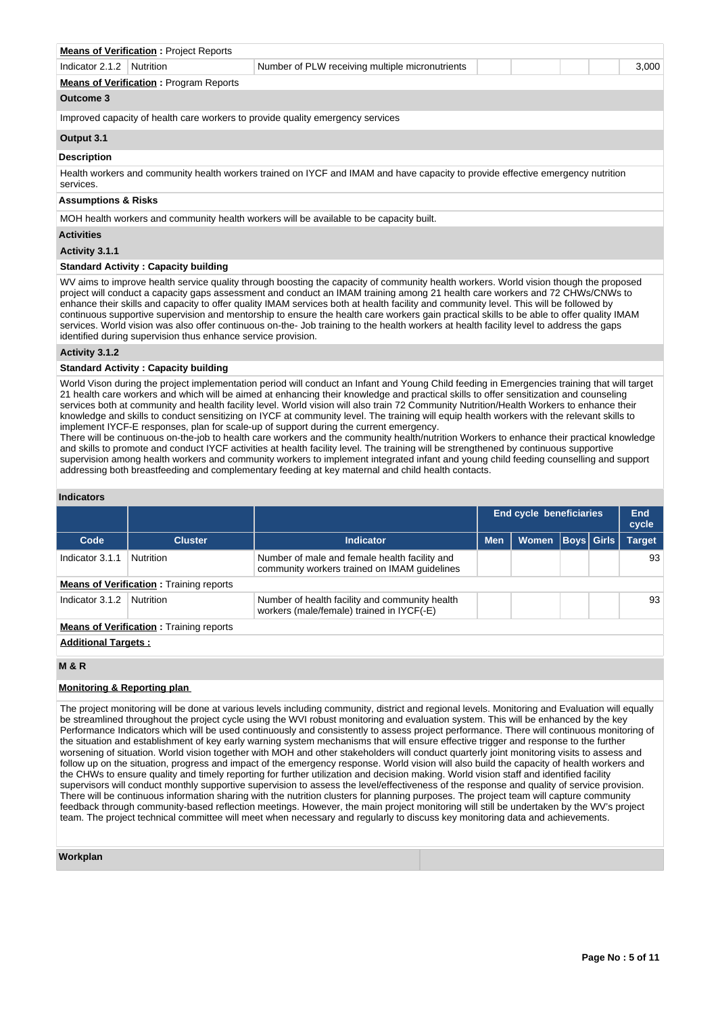|                                                                                | <b>Means of Verification: Project Reports</b>                         |                                                                                                                                 |  |  |  |  |  |  |  |  |
|--------------------------------------------------------------------------------|-----------------------------------------------------------------------|---------------------------------------------------------------------------------------------------------------------------------|--|--|--|--|--|--|--|--|
| Indicator 2.1.2                                                                | Number of PLW receiving multiple micronutrients<br>Nutrition<br>3,000 |                                                                                                                                 |  |  |  |  |  |  |  |  |
|                                                                                | <b>Means of Verification: Program Reports</b>                         |                                                                                                                                 |  |  |  |  |  |  |  |  |
| Outcome 3                                                                      |                                                                       |                                                                                                                                 |  |  |  |  |  |  |  |  |
| Improved capacity of health care workers to provide quality emergency services |                                                                       |                                                                                                                                 |  |  |  |  |  |  |  |  |
| Output 3.1                                                                     |                                                                       |                                                                                                                                 |  |  |  |  |  |  |  |  |
| <b>Description</b>                                                             |                                                                       |                                                                                                                                 |  |  |  |  |  |  |  |  |
| services.                                                                      |                                                                       | Health workers and community health workers trained on IYCF and IMAM and have capacity to provide effective emergency nutrition |  |  |  |  |  |  |  |  |
| <b>Assumptions &amp; Risks</b>                                                 |                                                                       |                                                                                                                                 |  |  |  |  |  |  |  |  |
|                                                                                |                                                                       | MOH health workers and community health workers will be available to be capacity built.                                         |  |  |  |  |  |  |  |  |
| <b>Activities</b>                                                              |                                                                       |                                                                                                                                 |  |  |  |  |  |  |  |  |
|                                                                                |                                                                       |                                                                                                                                 |  |  |  |  |  |  |  |  |

**Activity 3.1.1** 

## **Standard Activity : Capacity building**

WV aims to improve health service quality through boosting the capacity of community health workers. World vision though the proposed project will conduct a capacity gaps assessment and conduct an IMAM training among 21 health care workers and 72 CHWs/CNWs to enhance their skills and capacity to offer quality IMAM services both at health facility and community level. This will be followed by continuous supportive supervision and mentorship to ensure the health care workers gain practical skills to be able to offer quality IMAM services. World vision was also offer continuous on-the- Job training to the health workers at health facility level to address the gaps identified during supervision thus enhance service provision.

#### **Activity 3.1.2**

#### **Standard Activity : Capacity building**

World Vison during the project implementation period will conduct an Infant and Young Child feeding in Emergencies training that will target 21 health care workers and which will be aimed at enhancing their knowledge and practical skills to offer sensitization and counseling services both at community and health facility level. World vision will also train 72 Community Nutrition/Health Workers to enhance their knowledge and skills to conduct sensitizing on IYCF at community level. The training will equip health workers with the relevant skills to implement IYCF-E responses, plan for scale-up of support during the current emergency.

There will be continuous on-the-job to health care workers and the community health/nutrition Workers to enhance their practical knowledge and skills to promote and conduct IYCF activities at health facility level. The training will be strengthened by continuous supportive supervision among health workers and community workers to implement integrated infant and young child feeding counselling and support addressing both breastfeeding and complementary feeding at key maternal and child health contacts.

## **Indicators**

|                                                |                                                |                                                                                               |            | <b>End cycle beneficiaries</b> |                   |  | End<br>cycle  |  |  |
|------------------------------------------------|------------------------------------------------|-----------------------------------------------------------------------------------------------|------------|--------------------------------|-------------------|--|---------------|--|--|
| Code                                           | <b>Cluster</b>                                 | Indicator                                                                                     | <b>Men</b> | Women                          | <b>Boys</b> Girls |  | <b>Target</b> |  |  |
| Indicator 3.1.1                                | Nutrition                                      | Number of male and female health facility and<br>community workers trained on IMAM quidelines |            |                                |                   |  | 93            |  |  |
|                                                | <b>Means of Verification:</b> Training reports |                                                                                               |            |                                |                   |  |               |  |  |
| Indicator 3.1.2                                | Nutrition                                      | Number of health facility and community health<br>workers (male/female) trained in IYCF(-E)   |            |                                |                   |  | 93            |  |  |
| <b>Means of Verification:</b> Training reports |                                                |                                                                                               |            |                                |                   |  |               |  |  |
|                                                | <b>Additional Targets:</b>                     |                                                                                               |            |                                |                   |  |               |  |  |

## **M & R**

## **Monitoring & Reporting plan**

The project monitoring will be done at various levels including community, district and regional levels. Monitoring and Evaluation will equally be streamlined throughout the project cycle using the WVI robust monitoring and evaluation system. This will be enhanced by the key Performance Indicators which will be used continuously and consistently to assess project performance. There will continuous monitoring of the situation and establishment of key early warning system mechanisms that will ensure effective trigger and response to the further worsening of situation. World vision together with MOH and other stakeholders will conduct quarterly joint monitoring visits to assess and follow up on the situation, progress and impact of the emergency response. World vision will also build the capacity of health workers and the CHWs to ensure quality and timely reporting for further utilization and decision making. World vision staff and identified facility supervisors will conduct monthly supportive supervision to assess the level/effectiveness of the response and quality of service provision. There will be continuous information sharing with the nutrition clusters for planning purposes. The project team will capture community feedback through community-based reflection meetings. However, the main project monitoring will still be undertaken by the WV's project team. The project technical committee will meet when necessary and regularly to discuss key monitoring data and achievements.

#### **Workplan**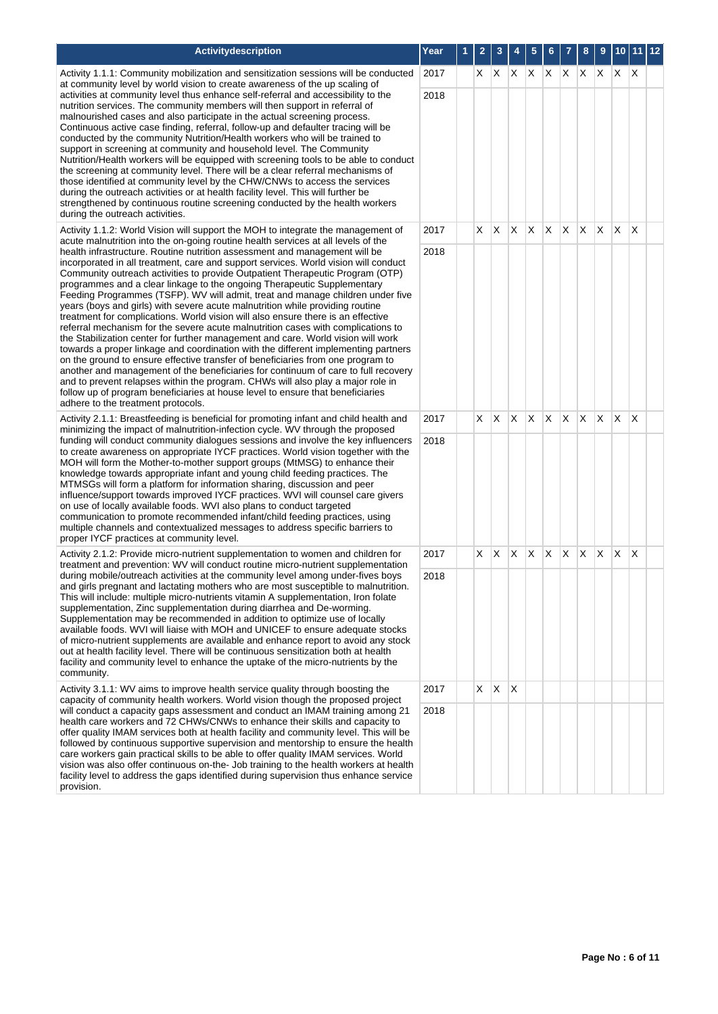| Activitydescription                                                                                                                                                                                                                                                                                                                                                                                                                                                                                                                                                                                                                                                                                                                                                                                                                                                                                                                                                                                                                                                                                                                                                                                                                    | Year | 1 | 2  | 3            | 4            | 5            | 6  |              | 8  | 9            | 10 <sub>1</sub> | 11 12                   |  |
|----------------------------------------------------------------------------------------------------------------------------------------------------------------------------------------------------------------------------------------------------------------------------------------------------------------------------------------------------------------------------------------------------------------------------------------------------------------------------------------------------------------------------------------------------------------------------------------------------------------------------------------------------------------------------------------------------------------------------------------------------------------------------------------------------------------------------------------------------------------------------------------------------------------------------------------------------------------------------------------------------------------------------------------------------------------------------------------------------------------------------------------------------------------------------------------------------------------------------------------|------|---|----|--------------|--------------|--------------|----|--------------|----|--------------|-----------------|-------------------------|--|
| Activity 1.1.1: Community mobilization and sensitization sessions will be conducted<br>at community level by world vision to create awareness of the up scaling of                                                                                                                                                                                                                                                                                                                                                                                                                                                                                                                                                                                                                                                                                                                                                                                                                                                                                                                                                                                                                                                                     | 2017 |   | X. | IX.          | X            | X.           | X. | X.           | X. | X.           | X.              | ΙX                      |  |
| activities at community level thus enhance self-referral and accessibility to the<br>nutrition services. The community members will then support in referral of<br>malnourished cases and also participate in the actual screening process.<br>Continuous active case finding, referral, follow-up and defaulter tracing will be<br>conducted by the community Nutrition/Health workers who will be trained to<br>support in screening at community and household level. The Community<br>Nutrition/Health workers will be equipped with screening tools to be able to conduct<br>the screening at community level. There will be a clear referral mechanisms of<br>those identified at community level by the CHW/CNWs to access the services<br>during the outreach activities or at health facility level. This will further be<br>strengthened by continuous routine screening conducted by the health workers<br>during the outreach activities.                                                                                                                                                                                                                                                                                  | 2018 |   |    |              |              |              |    |              |    |              |                 |                         |  |
| Activity 1.1.2: World Vision will support the MOH to integrate the management of<br>acute malnutrition into the on-going routine health services at all levels of the                                                                                                                                                                                                                                                                                                                                                                                                                                                                                                                                                                                                                                                                                                                                                                                                                                                                                                                                                                                                                                                                  | 2017 |   | X. | $\mathsf{X}$ | $\mathsf{X}$ | $\mathsf{X}$ | X. | $\mathsf{X}$ | X. | X.           | $\mathsf{X}$    | $\mathsf{X}$            |  |
| health infrastructure. Routine nutrition assessment and management will be<br>incorporated in all treatment, care and support services. World vision will conduct<br>Community outreach activities to provide Outpatient Therapeutic Program (OTP)<br>programmes and a clear linkage to the ongoing Therapeutic Supplementary<br>Feeding Programmes (TSFP). WV will admit, treat and manage children under five<br>years (boys and girls) with severe acute malnutrition while providing routine<br>treatment for complications. World vision will also ensure there is an effective<br>referral mechanism for the severe acute malnutrition cases with complications to<br>the Stabilization center for further management and care. World vision will work<br>towards a proper linkage and coordination with the different implementing partners<br>on the ground to ensure effective transfer of beneficiaries from one program to<br>another and management of the beneficiaries for continuum of care to full recovery<br>and to prevent relapses within the program. CHWs will also play a major role in<br>follow up of program beneficiaries at house level to ensure that beneficiaries<br>adhere to the treatment protocols. | 2018 |   |    |              |              |              |    |              |    |              |                 |                         |  |
| Activity 2.1.1: Breastfeeding is beneficial for promoting infant and child health and<br>minimizing the impact of malnutrition-infection cycle. WV through the proposed                                                                                                                                                                                                                                                                                                                                                                                                                                                                                                                                                                                                                                                                                                                                                                                                                                                                                                                                                                                                                                                                | 2017 |   |    | $X$ $X$      | X.           | X.           | X. | $\mathsf{X}$ | X. | $\mathsf{X}$ | $\mathsf{X}$    | $\mathsf{I} \mathsf{X}$ |  |
| funding will conduct community dialogues sessions and involve the key influencers<br>to create awareness on appropriate IYCF practices. World vision together with the<br>MOH will form the Mother-to-mother support groups (MtMSG) to enhance their<br>knowledge towards appropriate infant and young child feeding practices. The<br>MTMSGs will form a platform for information sharing, discussion and peer<br>influence/support towards improved IYCF practices. WVI will counsel care givers<br>on use of locally available foods. WVI also plans to conduct targeted<br>communication to promote recommended infant/child feeding practices, using<br>multiple channels and contextualized messages to address specific barriers to<br>proper IYCF practices at community level.                                                                                                                                                                                                                                                                                                                                                                                                                                                | 2018 |   |    |              |              |              |    |              |    |              |                 |                         |  |
| Activity 2.1.2: Provide micro-nutrient supplementation to women and children for<br>treatment and prevention: WV will conduct routine micro-nutrient supplementation                                                                                                                                                                                                                                                                                                                                                                                                                                                                                                                                                                                                                                                                                                                                                                                                                                                                                                                                                                                                                                                                   | 2017 |   | X. | IX.          | X            | X            | X. | X.           | X. | X.           | $\mathsf{X}$    | X                       |  |
| during mobile/outreach activities at the community level among under-fives boys<br>and girls pregnant and lactating mothers who are most susceptible to malnutrition.<br>This will include: multiple micro-nutrients vitamin A supplementation, Iron folate<br>supplementation, Zinc supplementation during diarrhea and De-worming.<br>Supplementation may be recommended in addition to optimize use of locally<br>available foods. WVI will liaise with MOH and UNICEF to ensure adequate stocks<br>of micro-nutrient supplements are available and enhance report to avoid any stock<br>out at health facility level. There will be continuous sensitization both at health<br>facility and community level to enhance the uptake of the micro-nutrients by the<br>community.                                                                                                                                                                                                                                                                                                                                                                                                                                                      | 2018 |   |    |              |              |              |    |              |    |              |                 |                         |  |
| Activity 3.1.1: WV aims to improve health service quality through boosting the<br>capacity of community health workers. World vision though the proposed project                                                                                                                                                                                                                                                                                                                                                                                                                                                                                                                                                                                                                                                                                                                                                                                                                                                                                                                                                                                                                                                                       | 2017 |   | X. | X            | $\times$     |              |    |              |    |              |                 |                         |  |
| will conduct a capacity gaps assessment and conduct an IMAM training among 21<br>health care workers and 72 CHWs/CNWs to enhance their skills and capacity to<br>offer quality IMAM services both at health facility and community level. This will be<br>followed by continuous supportive supervision and mentorship to ensure the health<br>care workers gain practical skills to be able to offer quality IMAM services. World<br>vision was also offer continuous on-the- Job training to the health workers at health<br>facility level to address the gaps identified during supervision thus enhance service                                                                                                                                                                                                                                                                                                                                                                                                                                                                                                                                                                                                                   | 2018 |   |    |              |              |              |    |              |    |              |                 |                         |  |

provision.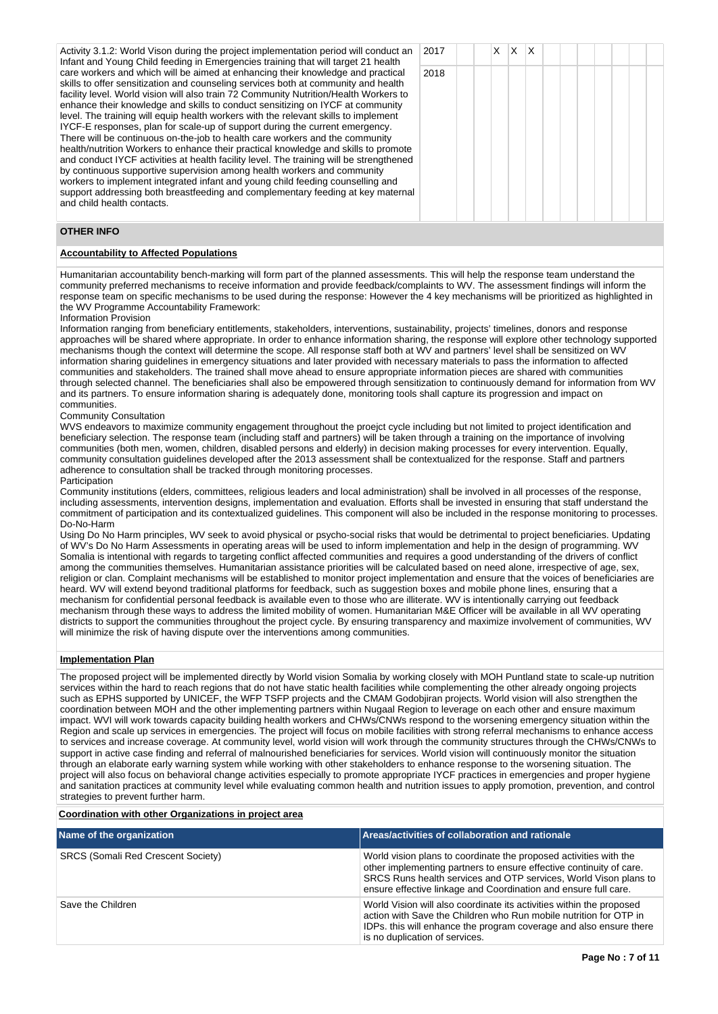Activity 3.1.2: World Vison during the project implementation period will conduct an Infant and Young Child feeding in Emergencies training that will target 21 health care workers and which will be aimed at enhancing their knowledge and practical skills to offer sensitization and counseling services both at community and health facility level. World vision will also train 72 Community Nutrition/Health Workers to enhance their knowledge and skills to conduct sensitizing on IYCF at community level. The training will equip health workers with the relevant skills to implement IYCF-E responses, plan for scale-up of support during the current emergency. There will be continuous on-the-job to health care workers and the community health/nutrition Workers to enhance their practical knowledge and skills to promote and conduct IYCF activities at health facility level. The training will be strengthened by continuous supportive supervision among health workers and community workers to implement integrated infant and young child feeding counselling and support addressing both breastfeeding and complementary feeding at key maternal and child health contacts.

|   | 2017 |  | $x \mid x \mid x$ |  |  |  |  |
|---|------|--|-------------------|--|--|--|--|
|   | 2018 |  |                   |  |  |  |  |
|   |      |  |                   |  |  |  |  |
|   |      |  |                   |  |  |  |  |
|   |      |  |                   |  |  |  |  |
| I |      |  |                   |  |  |  |  |
|   |      |  |                   |  |  |  |  |
| ı |      |  |                   |  |  |  |  |
|   |      |  |                   |  |  |  |  |
|   |      |  |                   |  |  |  |  |

## **OTHER INFO**

## **Accountability to Affected Populations**

Humanitarian accountability bench-marking will form part of the planned assessments. This will help the response team understand the community preferred mechanisms to receive information and provide feedback/complaints to WV. The assessment findings will inform the response team on specific mechanisms to be used during the response: However the 4 key mechanisms will be prioritized as highlighted in the WV Programme Accountability Framework:

#### Information Provision

Information ranging from beneficiary entitlements, stakeholders, interventions, sustainability, projects' timelines, donors and response approaches will be shared where appropriate. In order to enhance information sharing, the response will explore other technology supported mechanisms though the context will determine the scope. All response staff both at WV and partners' level shall be sensitized on WV information sharing guidelines in emergency situations and later provided with necessary materials to pass the information to affected communities and stakeholders. The trained shall move ahead to ensure appropriate information pieces are shared with communities through selected channel. The beneficiaries shall also be empowered through sensitization to continuously demand for information from WV and its partners. To ensure information sharing is adequately done, monitoring tools shall capture its progression and impact on communities.

## Community Consultation

WVS endeavors to maximize community engagement throughout the proejct cycle including but not limited to project identification and beneficiary selection. The response team (including staff and partners) will be taken through a training on the importance of involving communities (both men, women, children, disabled persons and elderly) in decision making processes for every intervention. Equally, community consultation guidelines developed after the 2013 assessment shall be contextualized for the response. Staff and partners adherence to consultation shall be tracked through monitoring processes.

#### **Participation**

Community institutions (elders, committees, religious leaders and local administration) shall be involved in all processes of the response, including assessments, intervention designs, implementation and evaluation. Efforts shall be invested in ensuring that staff understand the commitment of participation and its contextualized guidelines. This component will also be included in the response monitoring to processes. Do-No-Harm

Using Do No Harm principles, WV seek to avoid physical or psycho-social risks that would be detrimental to project beneficiaries. Updating of WV's Do No Harm Assessments in operating areas will be used to inform implementation and help in the design of programming. WV Somalia is intentional with regards to targeting conflict affected communities and requires a good understanding of the drivers of conflict among the communities themselves. Humanitarian assistance priorities will be calculated based on need alone, irrespective of age, sex, religion or clan. Complaint mechanisms will be established to monitor project implementation and ensure that the voices of beneficiaries are heard. WV will extend beyond traditional platforms for feedback, such as suggestion boxes and mobile phone lines, ensuring that a mechanism for confidential personal feedback is available even to those who are illiterate. WV is intentionally carrying out feedback mechanism through these ways to address the limited mobility of women. Humanitarian M&E Officer will be available in all WV operating districts to support the communities throughout the project cycle. By ensuring transparency and maximize involvement of communities, WV will minimize the risk of having dispute over the interventions among communities.

## **Implementation Plan**

The proposed project will be implemented directly by World vision Somalia by working closely with MOH Puntland state to scale-up nutrition services within the hard to reach regions that do not have static health facilities while complementing the other already ongoing projects such as EPHS supported by UNICEF, the WFP TSFP projects and the CMAM Godobjiran projects. World vision will also strengthen the coordination between MOH and the other implementing partners within Nugaal Region to leverage on each other and ensure maximum impact. WVI will work towards capacity building health workers and CHWs/CNWs respond to the worsening emergency situation within the Region and scale up services in emergencies. The project will focus on mobile facilities with strong referral mechanisms to enhance access to services and increase coverage. At community level, world vision will work through the community structures through the CHWs/CNWs to support in active case finding and referral of malnourished beneficiaries for services. World vision will continuously monitor the situation through an elaborate early warning system while working with other stakeholders to enhance response to the worsening situation. The project will also focus on behavioral change activities especially to promote appropriate IYCF practices in emergencies and proper hygiene and sanitation practices at community level while evaluating common health and nutrition issues to apply promotion, prevention, and control strategies to prevent further harm.

#### **Coordination with other Organizations in project area**

| Name of the organization                  | Areas/activities of collaboration and rationale                                                                                                                                                                                                                                 |
|-------------------------------------------|---------------------------------------------------------------------------------------------------------------------------------------------------------------------------------------------------------------------------------------------------------------------------------|
| <b>SRCS (Somali Red Crescent Society)</b> | World vision plans to coordinate the proposed activities with the<br>other implementing partners to ensure effective continuity of care.<br>SRCS Runs health services and OTP services, World Vison plans to<br>ensure effective linkage and Coordination and ensure full care. |
| Save the Children                         | World Vision will also coordinate its activities within the proposed<br>action with Save the Children who Run mobile nutrition for OTP in<br>IDPs, this will enhance the program coverage and also ensure there<br>is no duplication of services.                               |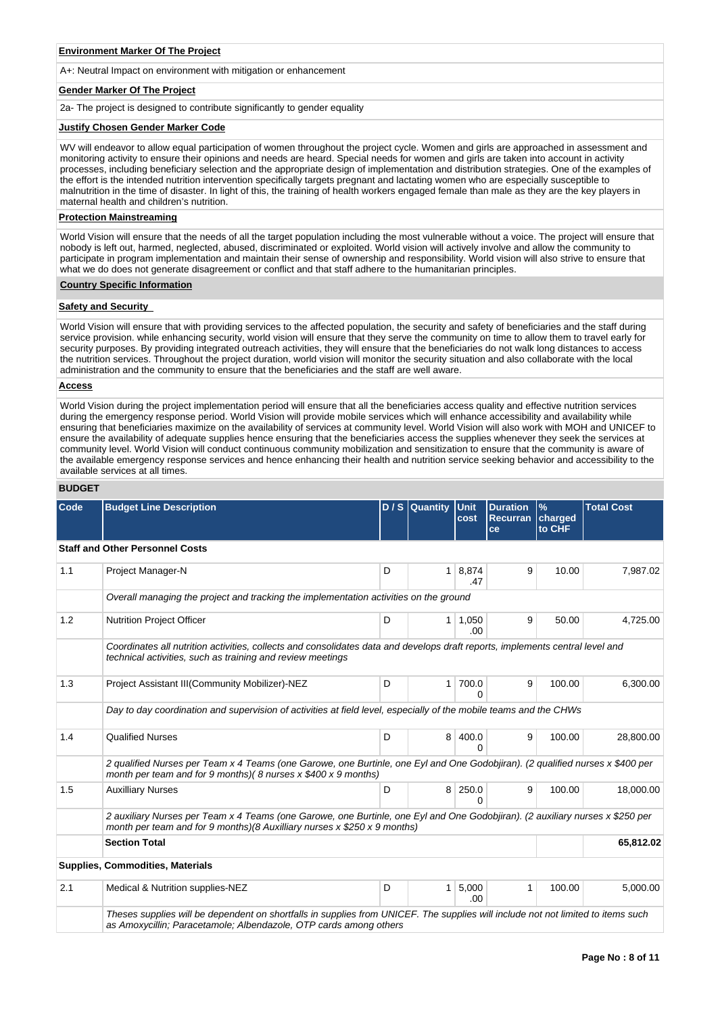## **Environment Marker Of The Project**

A+: Neutral Impact on environment with mitigation or enhancement

## **Gender Marker Of The Project**

2a- The project is designed to contribute significantly to gender equality

#### **Justify Chosen Gender Marker Code**

WV will endeavor to allow equal participation of women throughout the project cycle. Women and girls are approached in assessment and monitoring activity to ensure their opinions and needs are heard. Special needs for women and girls are taken into account in activity processes, including beneficiary selection and the appropriate design of implementation and distribution strategies. One of the examples of the effort is the intended nutrition intervention specifically targets pregnant and lactating women who are especially susceptible to malnutrition in the time of disaster. In light of this, the training of health workers engaged female than male as they are the key players in maternal health and children's nutrition.

## **Protection Mainstreaming**

World Vision will ensure that the needs of all the target population including the most vulnerable without a voice. The project will ensure that nobody is left out, harmed, neglected, abused, discriminated or exploited. World vision will actively involve and allow the community to participate in program implementation and maintain their sense of ownership and responsibility. World vision will also strive to ensure that what we do does not generate disagreement or conflict and that staff adhere to the humanitarian principles.

### **Country Specific Information**

#### **Safety and Security**

World Vision will ensure that with providing services to the affected population, the security and safety of beneficiaries and the staff during service provision. while enhancing security, world vision will ensure that they serve the community on time to allow them to travel early for security purposes. By providing integrated outreach activities, they will ensure that the beneficiaries do not walk long distances to access the nutrition services. Throughout the project duration, world vision will monitor the security situation and also collaborate with the local administration and the community to ensure that the beneficiaries and the staff are well aware.

## **Access**

World Vision during the project implementation period will ensure that all the beneficiaries access quality and effective nutrition services during the emergency response period. World Vision will provide mobile services which will enhance accessibility and availability while ensuring that beneficiaries maximize on the availability of services at community level. World Vision will also work with MOH and UNICEF to ensure the availability of adequate supplies hence ensuring that the beneficiaries access the supplies whenever they seek the services at community level. World Vision will conduct continuous community mobilization and sensitization to ensure that the community is aware of the available emergency response services and hence enhancing their health and nutrition service seeking behavior and accessibility to the available services at all times.

## **BUDGET**

| Code | <b>Budget Line Description</b>                                                                                                                                                                                |   | $D/S$ Quantity | Unit<br>cost        | <b>Duration</b><br><b>Recurran</b> | $\%$<br>charged | <b>Total Cost</b> |  |  |  |
|------|---------------------------------------------------------------------------------------------------------------------------------------------------------------------------------------------------------------|---|----------------|---------------------|------------------------------------|-----------------|-------------------|--|--|--|
|      |                                                                                                                                                                                                               |   |                |                     | ce                                 | to CHF          |                   |  |  |  |
|      | <b>Staff and Other Personnel Costs</b>                                                                                                                                                                        |   |                |                     |                                    |                 |                   |  |  |  |
| 1.1  | Project Manager-N                                                                                                                                                                                             | D | $\mathbf{1}$   | 8,874<br>.47        | 9                                  | 10.00           | 7,987.02          |  |  |  |
|      | Overall managing the project and tracking the implementation activities on the ground                                                                                                                         |   |                |                     |                                    |                 |                   |  |  |  |
| 1.2  | <b>Nutrition Project Officer</b>                                                                                                                                                                              | D | 1              | 1,050<br>.00        | 9                                  | 50.00           | 4,725.00          |  |  |  |
|      | Coordinates all nutrition activities, collects and consolidates data and develops draft reports, implements central level and<br>technical activities, such as training and review meetings                   |   |                |                     |                                    |                 |                   |  |  |  |
| 1.3  | Project Assistant III(Community Mobilizer)-NEZ                                                                                                                                                                | D | 1              | 700.0<br>0          | 9                                  | 100.00          | 6,300.00          |  |  |  |
|      | Day to day coordination and supervision of activities at field level, especially of the mobile teams and the CHWs                                                                                             |   |                |                     |                                    |                 |                   |  |  |  |
| 1.4  | <b>Qualified Nurses</b>                                                                                                                                                                                       | D | 8 <sup>1</sup> | 400.0<br>∩          | 9                                  | 100.00          | 28,800.00         |  |  |  |
|      | 2 qualified Nurses per Team x 4 Teams (one Garowe, one Burtinle, one Eyl and One Godobjiran). (2 qualified nurses x \$400 per<br>month per team and for 9 months)( $\theta$ nurses x \$400 x 9 months)        |   |                |                     |                                    |                 |                   |  |  |  |
| 1.5  | <b>Auxilliary Nurses</b>                                                                                                                                                                                      | D |                | 8 250.0<br>$\Omega$ | 9                                  | 100.00          | 18,000.00         |  |  |  |
|      | 2 auxiliary Nurses per Team x 4 Teams (one Garowe, one Burtinle, one Eyl and One Godobjiran). (2 auxiliary nurses x \$250 per<br>month per team and for 9 months)(8 Auxilliary nurses $x$ \$250 $x$ 9 months) |   |                |                     |                                    |                 |                   |  |  |  |
|      | <b>Section Total</b>                                                                                                                                                                                          |   | 65,812.02      |                     |                                    |                 |                   |  |  |  |
|      | Supplies, Commodities, Materials                                                                                                                                                                              |   |                |                     |                                    |                 |                   |  |  |  |
| 2.1  | Medical & Nutrition supplies-NEZ                                                                                                                                                                              | D | 1              | 5,000<br>.00        | 1                                  | 100.00          | 5,000.00          |  |  |  |
|      | Theses supplies will be dependent on shortfalls in supplies from UNICEF. The supplies will include not not limited to items such<br>as Amoxycillin; Paracetamole; Albendazole, OTP cards among others         |   |                |                     |                                    |                 |                   |  |  |  |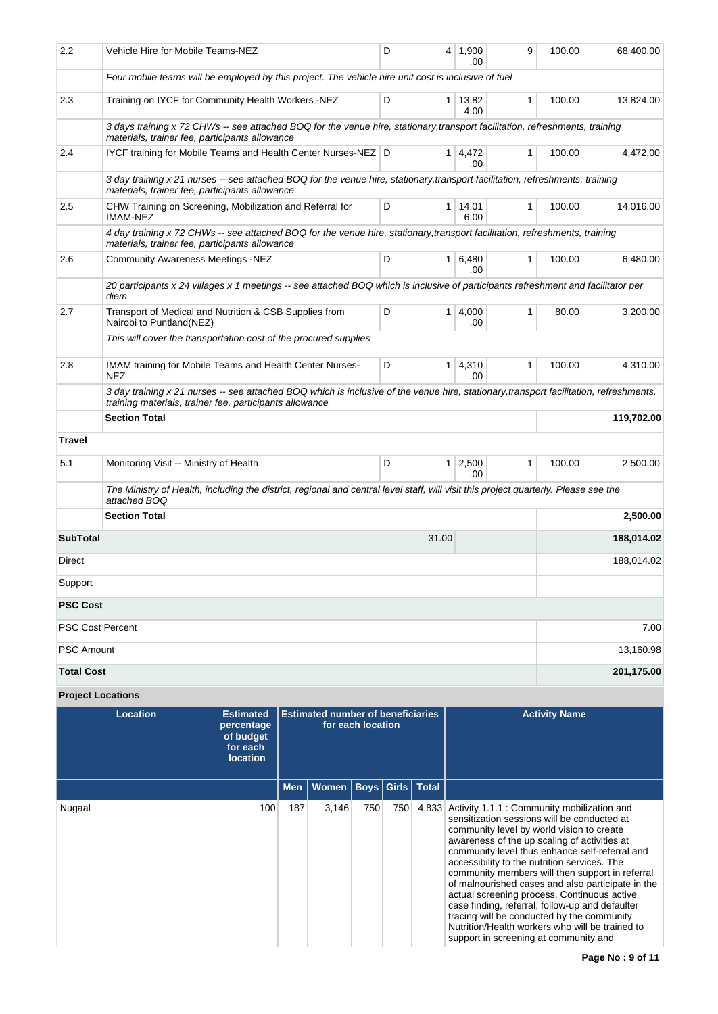| 2.2               | Vehicle Hire for Mobile Teams-NEZ                                                                                                                                                                 | D |       | 4   1,900<br>.00       | 9            | 100.00 | 68,400.00  |
|-------------------|---------------------------------------------------------------------------------------------------------------------------------------------------------------------------------------------------|---|-------|------------------------|--------------|--------|------------|
|                   | Four mobile teams will be employed by this project. The vehicle hire unit cost is inclusive of fuel                                                                                               |   |       |                        |              |        |            |
| 2.3               | Training on IYCF for Community Health Workers -NEZ                                                                                                                                                | D |       | $1 \mid 13,82$<br>4.00 | 1            | 100.00 | 13,824.00  |
|                   | 3 days training x 72 CHWs -- see attached BOQ for the venue hire, stationary, transport facilitation, refreshments, training<br>materials, trainer fee, participants allowance                    |   |       |                        |              |        |            |
| 2.4               | IYCF training for Mobile Teams and Health Center Nurses-NEZ D                                                                                                                                     |   |       | $1 \mid 4,472$<br>.00  | 1            | 100.00 | 4,472.00   |
|                   | 3 day training x 21 nurses -- see attached BOQ for the venue hire, stationary, transport facilitation, refreshments, training<br>materials, trainer fee, participants allowance                   |   |       |                        |              |        |            |
| 2.5               | CHW Training on Screening, Mobilization and Referral for<br><b>IMAM-NEZ</b>                                                                                                                       | D |       | $1 \mid 14,01$<br>6.00 | 1            | 100.00 | 14,016.00  |
|                   | 4 day training x 72 CHWs -- see attached BOQ for the venue hire, stationary, transport facilitation, refreshments, training<br>materials, trainer fee, participants allowance                     |   |       |                        |              |        |            |
| 2.6               | Community Awareness Meetings -NEZ                                                                                                                                                                 | D |       | $1 \mid 6,480$<br>.00  | 1            | 100.00 | 6,480.00   |
|                   | 20 participants x 24 villages x 1 meetings -- see attached BOQ which is inclusive of participants refreshment and facilitator per<br>diem                                                         |   |       |                        |              |        |            |
| 2.7               | Transport of Medical and Nutrition & CSB Supplies from<br>Nairobi to Puntland(NEZ)                                                                                                                | D |       | $1 \mid 4,000$<br>.00  | $\mathbf{1}$ | 80.00  | 3,200.00   |
|                   | This will cover the transportation cost of the procured supplies                                                                                                                                  |   |       |                        |              |        |            |
| 2.8               | IMAM training for Mobile Teams and Health Center Nurses-<br><b>NEZ</b>                                                                                                                            | D |       | $1 \mid 4,310$<br>.00  | 1            | 100.00 | 4,310.00   |
|                   | 3 day training x 21 nurses -- see attached BOQ which is inclusive of the venue hire, stationary, transport facilitation, refreshments,<br>training materials, trainer fee, participants allowance |   |       |                        |              |        |            |
|                   | <b>Section Total</b>                                                                                                                                                                              |   |       | 119,702.00             |              |        |            |
| Travel            |                                                                                                                                                                                                   |   |       |                        |              |        |            |
| 5.1               | Monitoring Visit -- Ministry of Health                                                                                                                                                            | D |       | $1 \ 2,500$<br>.00     | 1            | 100.00 | 2,500.00   |
|                   | The Ministry of Health, including the district, regional and central level staff, will visit this project quarterly. Please see the<br>attached BOQ                                               |   |       |                        |              |        |            |
|                   | <b>Section Total</b>                                                                                                                                                                              |   |       |                        |              |        | 2,500.00   |
| <b>SubTotal</b>   |                                                                                                                                                                                                   |   | 31.00 |                        |              |        | 188,014.02 |
| Direct            |                                                                                                                                                                                                   |   |       |                        |              |        | 188,014.02 |
| Support           |                                                                                                                                                                                                   |   |       |                        |              |        |            |
| <b>PSC Cost</b>   |                                                                                                                                                                                                   |   |       |                        |              |        |            |
|                   | <b>PSC Cost Percent</b>                                                                                                                                                                           |   |       |                        |              |        | 7.00       |
| PSC Amount        |                                                                                                                                                                                                   |   |       |                        |              |        | 13,160.98  |
| <b>Total Cost</b> |                                                                                                                                                                                                   |   |       |                        |              |        | 201,175.00 |

# **Project Locations**

| Location | <b>Estimated</b><br>percentage<br>of budget<br>for each<br><b>location</b> | <b>Estimated number of beneficiaries</b><br>for each location |              |     |       |              | <b>Activity Name</b>                                                                                                                                                                                                                                                                                                                                                                                                                                                                                                                                                                                                                          |
|----------|----------------------------------------------------------------------------|---------------------------------------------------------------|--------------|-----|-------|--------------|-----------------------------------------------------------------------------------------------------------------------------------------------------------------------------------------------------------------------------------------------------------------------------------------------------------------------------------------------------------------------------------------------------------------------------------------------------------------------------------------------------------------------------------------------------------------------------------------------------------------------------------------------|
|          |                                                                            | <b>Men</b>                                                    | Women   Boys |     | Girls | <b>Total</b> |                                                                                                                                                                                                                                                                                                                                                                                                                                                                                                                                                                                                                                               |
| Nugaal   | 100                                                                        | 187                                                           | 3,146        | 750 | 750   | 4,833        | Activity 1.1.1 : Community mobilization and<br>sensitization sessions will be conducted at<br>community level by world vision to create<br>awareness of the up scaling of activities at<br>community level thus enhance self-referral and<br>accessibility to the nutrition services. The<br>community members will then support in referral<br>of malnourished cases and also participate in the<br>actual screening process. Continuous active<br>case finding, referral, follow-up and defaulter<br>tracing will be conducted by the community<br>Nutrition/Health workers who will be trained to<br>support in screening at community and |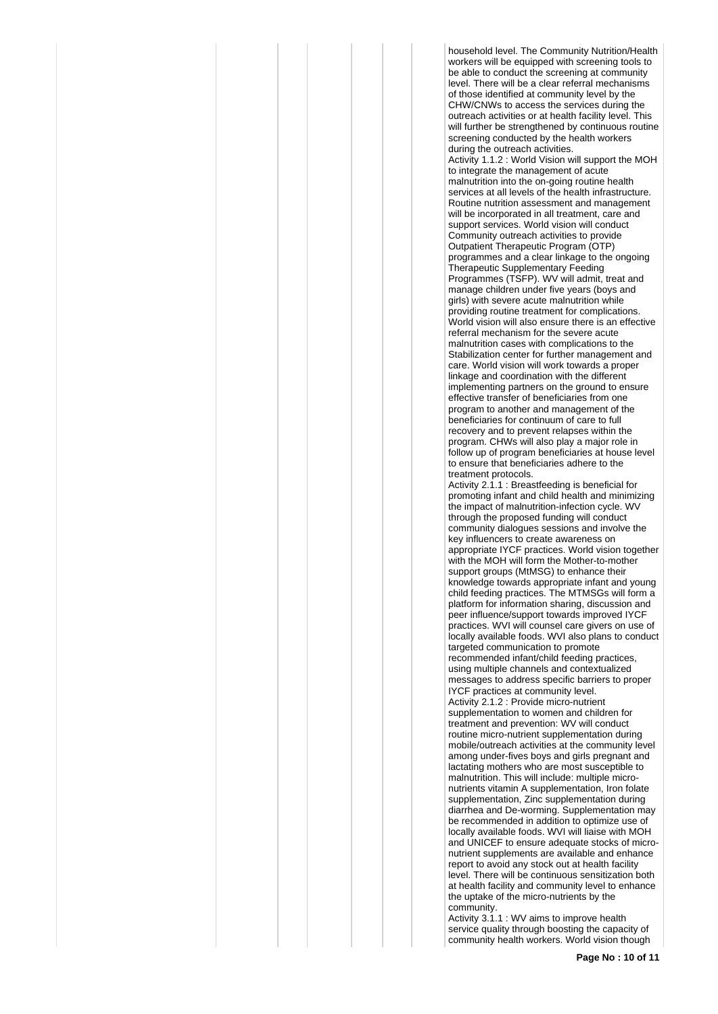household level. The Community Nutrition/Health workers will be equipped with screening tools to be able to conduct the screening at community level. There will be a clear referral mechanisms of those identified at community level by the CHW/CNWs to access the services during the outreach activities or at health facility level. This will further be strengthened by continuous routine screening conducted by the health workers during the outreach activities.

Activity 1.1.2 : World Vision will support the MOH to integrate the management of acute malnutrition into the on-going routine health services at all levels of the health infrastructure. Routine nutrition assessment and management will be incorporated in all treatment, care and support services. World vision will conduct Community outreach activities to provide Outpatient Therapeutic Program (OTP) programmes and a clear linkage to the ongoing Therapeutic Supplementary Feeding Programmes (TSFP). WV will admit, treat and manage children under five years (boys and girls) with severe acute malnutrition while providing routine treatment for complications. World vision will also ensure there is an effective referral mechanism for the severe acute malnutrition cases with complications to the Stabilization center for further management and care. World vision will work towards a proper linkage and coordination with the different implementing partners on the ground to ensure effective transfer of beneficiaries from one program to another and management of the beneficiaries for continuum of care to full recovery and to prevent relapses within the program. CHWs will also play a major role in follow up of program beneficiaries at house level to ensure that beneficiaries adhere to the treatment protocols.

Activity 2.1.1 : Breastfeeding is beneficial for promoting infant and child health and minimizing the impact of malnutrition-infection cycle. WV through the proposed funding will conduct community dialogues sessions and involve the key influencers to create awareness on appropriate IYCF practices. World vision together with the MOH will form the Mother-to-mother support groups (MtMSG) to enhance their knowledge towards appropriate infant and young child feeding practices. The MTMSGs will form a platform for information sharing, discussion and peer influence/support towards improved IYCF practices. WVI will counsel care givers on use of locally available foods. WVI also plans to conduct targeted communication to promote recommended infant/child feeding practices, using multiple channels and contextualized messages to address specific barriers to proper IYCF practices at community level. Activity 2.1.2 : Provide micro-nutrient supplementation to women and children for treatment and prevention: WV will conduct routine micro-nutrient supplementation during mobile/outreach activities at the community level among under-fives boys and girls pregnant and lactating mothers who are most susceptible to malnutrition. This will include: multiple micronutrients vitamin A supplementation, Iron folate supplementation, Zinc supplementation during diarrhea and De-worming. Supplementation may be recommended in addition to optimize use of locally available foods. WVI will liaise with MOH and UNICEF to ensure adequate stocks of micronutrient supplements are available and enhance report to avoid any stock out at health facility level. There will be continuous sensitization both at health facility and community level to enhance the uptake of the micro-nutrients by the

community. Activity 3.1.1 : WV aims to improve health service quality through boosting the capacity of community health workers. World vision though